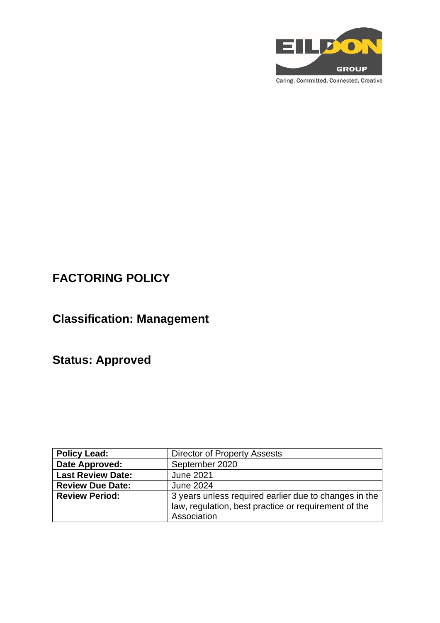

Caring, Committed, Connected, Creative

# **FACTORING POLICY**

# **Classification: Management**

# **Status: Approved**

| <b>Policy Lead:</b>      | <b>Director of Property Assests</b>                   |
|--------------------------|-------------------------------------------------------|
| Date Approved:           | September 2020                                        |
| <b>Last Review Date:</b> | <b>June 2021</b>                                      |
| <b>Review Due Date:</b>  | <b>June 2024</b>                                      |
| <b>Review Period:</b>    | 3 years unless required earlier due to changes in the |
|                          | law, regulation, best practice or requirement of the  |
|                          | Association                                           |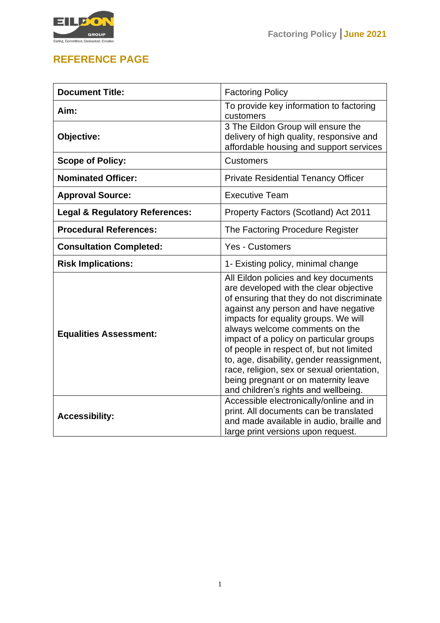



## **REFERENCE PAGE**

| <b>Document Title:</b>                    | <b>Factoring Policy</b>                                                                                                                                                                                                                                                                                                                                                                                                                                                                                          |
|-------------------------------------------|------------------------------------------------------------------------------------------------------------------------------------------------------------------------------------------------------------------------------------------------------------------------------------------------------------------------------------------------------------------------------------------------------------------------------------------------------------------------------------------------------------------|
| Aim:                                      | To provide key information to factoring<br>customers                                                                                                                                                                                                                                                                                                                                                                                                                                                             |
| Objective:                                | 3 The Eildon Group will ensure the<br>delivery of high quality, responsive and<br>affordable housing and support services                                                                                                                                                                                                                                                                                                                                                                                        |
| <b>Scope of Policy:</b>                   | <b>Customers</b>                                                                                                                                                                                                                                                                                                                                                                                                                                                                                                 |
| <b>Nominated Officer:</b>                 | <b>Private Residential Tenancy Officer</b>                                                                                                                                                                                                                                                                                                                                                                                                                                                                       |
| <b>Approval Source:</b>                   | <b>Executive Team</b>                                                                                                                                                                                                                                                                                                                                                                                                                                                                                            |
| <b>Legal &amp; Regulatory References:</b> | Property Factors (Scotland) Act 2011                                                                                                                                                                                                                                                                                                                                                                                                                                                                             |
| <b>Procedural References:</b>             | The Factoring Procedure Register                                                                                                                                                                                                                                                                                                                                                                                                                                                                                 |
| <b>Consultation Completed:</b>            | <b>Yes - Customers</b>                                                                                                                                                                                                                                                                                                                                                                                                                                                                                           |
| <b>Risk Implications:</b>                 | 1- Existing policy, minimal change                                                                                                                                                                                                                                                                                                                                                                                                                                                                               |
| <b>Equalities Assessment:</b>             | All Eildon policies and key documents<br>are developed with the clear objective<br>of ensuring that they do not discriminate<br>against any person and have negative<br>impacts for equality groups. We will<br>always welcome comments on the<br>impact of a policy on particular groups<br>of people in respect of, but not limited<br>to, age, disability, gender reassignment,<br>race, religion, sex or sexual orientation,<br>being pregnant or on maternity leave<br>and children's rights and wellbeing. |
| <b>Accessibility:</b>                     | Accessible electronically/online and in<br>print. All documents can be translated<br>and made available in audio, braille and<br>large print versions upon request.                                                                                                                                                                                                                                                                                                                                              |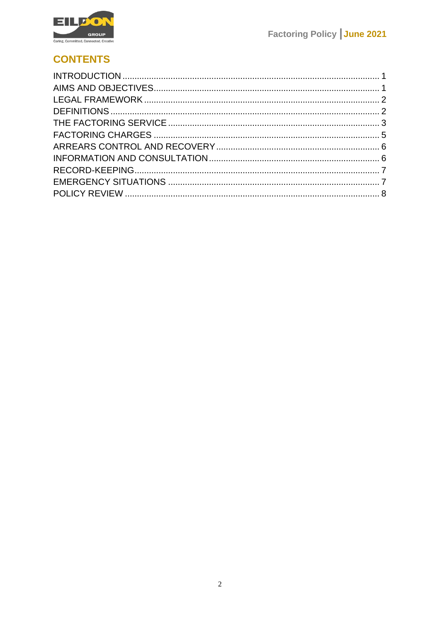

## **CONTENTS**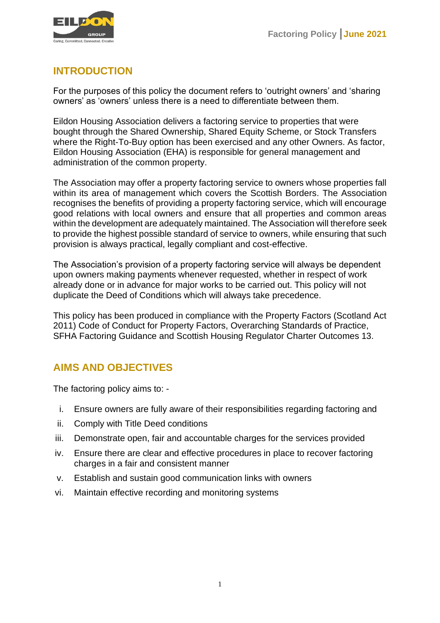

## <span id="page-3-0"></span>**INTRODUCTION**

For the purposes of this policy the document refers to 'outright owners' and 'sharing owners' as 'owners' unless there is a need to differentiate between them.

Eildon Housing Association delivers a factoring service to properties that were bought through the Shared Ownership, Shared Equity Scheme, or Stock Transfers where the Right-To-Buy option has been exercised and any other Owners. As factor, Eildon Housing Association (EHA) is responsible for general management and administration of the common property.

The Association may offer a property factoring service to owners whose properties fall within its area of management which covers the Scottish Borders. The Association recognises the benefits of providing a property factoring service, which will encourage good relations with local owners and ensure that all properties and common areas within the development are adequately maintained. The Association will therefore seek to provide the highest possible standard of service to owners, while ensuring that such provision is always practical, legally compliant and cost-effective.

The Association's provision of a property factoring service will always be dependent upon owners making payments whenever requested, whether in respect of work already done or in advance for major works to be carried out. This policy will not duplicate the Deed of Conditions which will always take precedence.

This policy has been produced in compliance with the Property Factors (Scotland Act 2011) Code of Conduct for Property Factors, Overarching Standards of Practice, SFHA Factoring Guidance and Scottish Housing Regulator Charter Outcomes 13.

## <span id="page-3-1"></span>**AIMS AND OBJECTIVES**

The factoring policy aims to: -

- i. Ensure owners are fully aware of their responsibilities regarding factoring and
- ii. Comply with Title Deed conditions
- iii. Demonstrate open, fair and accountable charges for the services provided
- iv. Ensure there are clear and effective procedures in place to recover factoring charges in a fair and consistent manner
- v. Establish and sustain good communication links with owners
- vi. Maintain effective recording and monitoring systems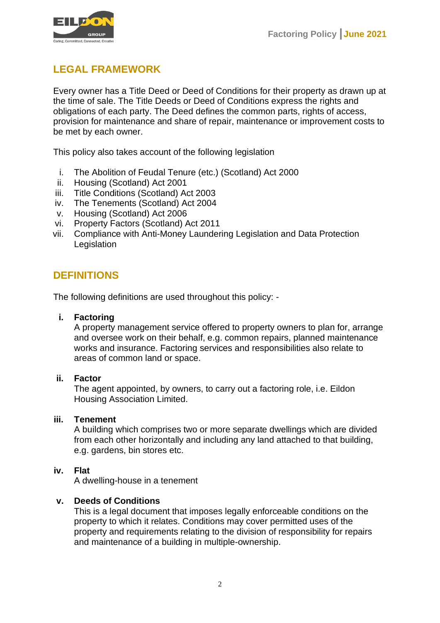

## <span id="page-4-0"></span>**LEGAL FRAMEWORK**

Every owner has a Title Deed or Deed of Conditions for their property as drawn up at the time of sale. The Title Deeds or Deed of Conditions express the rights and obligations of each party. The Deed defines the common parts, rights of access, provision for maintenance and share of repair, maintenance or improvement costs to be met by each owner.

This policy also takes account of the following legislation

- i. The Abolition of Feudal Tenure (etc.) (Scotland) Act 2000
- ii. Housing (Scotland) Act 2001
- iii. Title Conditions (Scotland) Act 2003
- iv. The Tenements (Scotland) Act 2004
- v. Housing (Scotland) Act 2006
- vi. Property Factors (Scotland) Act 2011
- vii. Compliance with Anti-Money Laundering Legislation and Data Protection Legislation

## <span id="page-4-1"></span>**DEFINITIONS**

The following definitions are used throughout this policy: -

#### **i. Factoring**

A property management service offered to property owners to plan for, arrange and oversee work on their behalf, e.g. common repairs, planned maintenance works and insurance. Factoring services and responsibilities also relate to areas of common land or space.

#### **ii. Factor**

The agent appointed, by owners, to carry out a factoring role, i.e. Eildon Housing Association Limited.

#### **iii. Tenement**

A building which comprises two or more separate dwellings which are divided from each other horizontally and including any land attached to that building, e.g. gardens, bin stores etc.

#### **iv. Flat**

A dwelling-house in a tenement

#### **v. Deeds of Conditions**

This is a legal document that imposes legally enforceable conditions on the property to which it relates. Conditions may cover permitted uses of the property and requirements relating to the division of responsibility for repairs and maintenance of a building in multiple-ownership.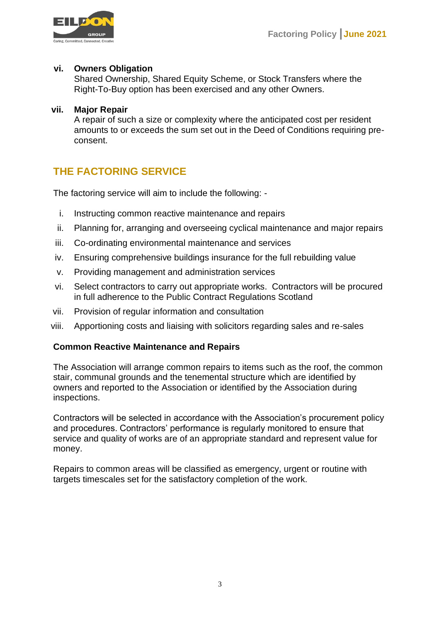

#### **vi. Owners Obligation**

Shared Ownership, Shared Equity Scheme, or Stock Transfers where the Right-To-Buy option has been exercised and any other Owners.

#### **vii. Major Repair**

A repair of such a size or complexity where the anticipated cost per resident amounts to or exceeds the sum set out in the Deed of Conditions requiring preconsent.

## <span id="page-5-0"></span>**THE FACTORING SERVICE**

The factoring service will aim to include the following: -

- i. Instructing common reactive maintenance and repairs
- ii. Planning for, arranging and overseeing cyclical maintenance and major repairs
- iii. Co-ordinating environmental maintenance and services
- iv. Ensuring comprehensive buildings insurance for the full rebuilding value
- v. Providing management and administration services
- vi. Select contractors to carry out appropriate works. Contractors will be procured in full adherence to the Public Contract Regulations Scotland
- vii. Provision of regular information and consultation
- viii. Apportioning costs and liaising with solicitors regarding sales and re-sales

#### **Common Reactive Maintenance and Repairs**

The Association will arrange common repairs to items such as the roof, the common stair, communal grounds and the tenemental structure which are identified by owners and reported to the Association or identified by the Association during inspections.

Contractors will be selected in accordance with the Association's procurement policy and procedures. Contractors' performance is regularly monitored to ensure that service and quality of works are of an appropriate standard and represent value for money.

Repairs to common areas will be classified as emergency, urgent or routine with targets timescales set for the satisfactory completion of the work.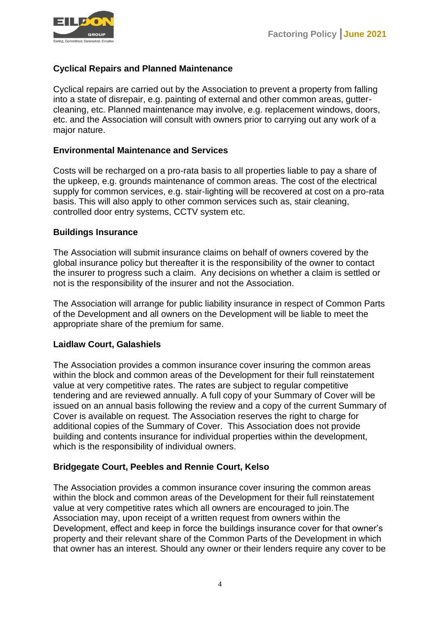

#### **Cyclical Repairs and Planned Maintenance**

Cyclical repairs are carried out by the Association to prevent a property from falling into a state of disrepair, e.g. painting of external and other common areas, guttercleaning, etc. Planned maintenance may involve, e.g. replacement windows, doors, etc. and the Association will consult with owners prior to carrying out any work of a major nature.

#### **Environmental Maintenance and Services**

Costs will be recharged on a pro-rata basis to all properties liable to pay a share of the upkeep, e.g. grounds maintenance of common areas. The cost of the electrical supply for common services, e.g. stair-lighting will be recovered at cost on a pro-rata basis. This will also apply to other common services such as, stair cleaning, controlled door entry systems, CCTV system etc.

#### **Buildings Insurance**

The Association will submit insurance claims on behalf of owners covered by the global insurance policy but thereafter it is the responsibility of the owner to contact the insurer to progress such a claim. Any decisions on whether a claim is settled or not is the responsibility of the insurer and not the Association.

The Association will arrange for public liability insurance in respect of Common Parts of the Development and all owners on the Development will be liable to meet the appropriate share of the premium for same.

#### **Laidlaw Court, Galashiels**

The Association provides a common insurance cover insuring the common areas within the block and common areas of the Development for their full reinstatement value at very competitive rates. The rates are subject to regular competitive tendering and are reviewed annually. A full copy of your Summary of Cover will be issued on an annual basis following the review and a copy of the current Summary of Cover is available on request. The Association reserves the right to charge for additional copies of the Summary of Cover. This Association does not provide building and contents insurance for individual properties within the development, which is the responsibility of individual owners.

#### **Bridgegate Court, Peebles and Rennie Court, Kelso**

The Association provides a common insurance cover insuring the common areas within the block and common areas of the Development for their full reinstatement value at very competitive rates which all owners are encouraged to join.The Association may, upon receipt of a written request from owners within the Development, effect and keep in force the buildings insurance cover for that owner's property and their relevant share of the Common Parts of the Development in which that owner has an interest. Should any owner or their lenders require any cover to be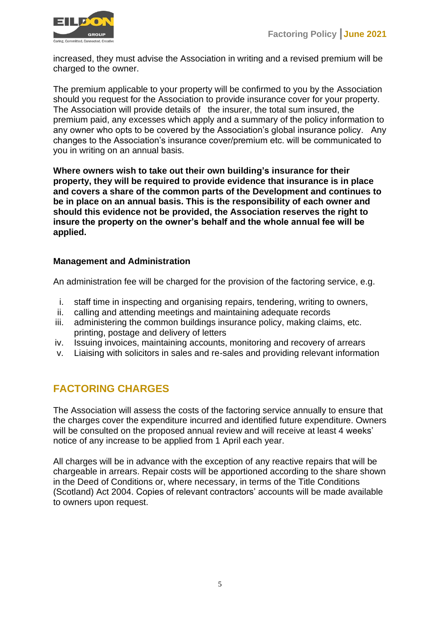

increased, they must advise the Association in writing and a revised premium will be charged to the owner.

The premium applicable to your property will be confirmed to you by the Association should you request for the Association to provide insurance cover for your property. The Association will provide details of the insurer, the total sum insured, the premium paid, any excesses which apply and a summary of the policy information to any owner who opts to be covered by the Association's global insurance policy. Any changes to the Association's insurance cover/premium etc. will be communicated to you in writing on an annual basis.

**Where owners wish to take out their own building's insurance for their property, they will be required to provide evidence that insurance is in place and covers a share of the common parts of the Development and continues to be in place on an annual basis. This is the responsibility of each owner and should this evidence not be provided, the Association reserves the right to insure the property on the owner's behalf and the whole annual fee will be applied.** 

#### **Management and Administration**

An administration fee will be charged for the provision of the factoring service, e.g.

- i. staff time in inspecting and organising repairs, tendering, writing to owners,
- ii. calling and attending meetings and maintaining adequate records
- iii. administering the common buildings insurance policy, making claims, etc. printing, postage and delivery of letters
- iv. Issuing invoices, maintaining accounts, monitoring and recovery of arrears
- v. Liaising with solicitors in sales and re-sales and providing relevant information

## <span id="page-7-0"></span>**FACTORING CHARGES**

The Association will assess the costs of the factoring service annually to ensure that the charges cover the expenditure incurred and identified future expenditure. Owners will be consulted on the proposed annual review and will receive at least 4 weeks' notice of any increase to be applied from 1 April each year.

All charges will be in advance with the exception of any reactive repairs that will be chargeable in arrears. Repair costs will be apportioned according to the share shown in the Deed of Conditions or, where necessary, in terms of the Title Conditions (Scotland) Act 2004. Copies of relevant contractors' accounts will be made available to owners upon request.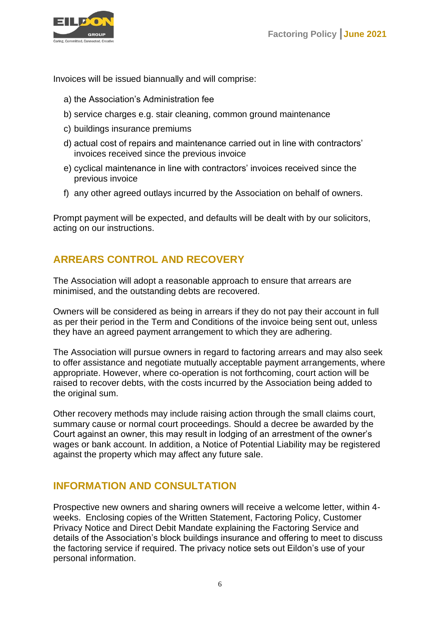

Invoices will be issued biannually and will comprise:

- a) the Association's Administration fee
- b) service charges e.g. stair cleaning, common ground maintenance
- c) buildings insurance premiums
- d) actual cost of repairs and maintenance carried out in line with contractors' invoices received since the previous invoice
- e) cyclical maintenance in line with contractors' invoices received since the previous invoice
- f) any other agreed outlays incurred by the Association on behalf of owners.

Prompt payment will be expected, and defaults will be dealt with by our solicitors, acting on our instructions.

## <span id="page-8-0"></span>**ARREARS CONTROL AND RECOVERY**

The Association will adopt a reasonable approach to ensure that arrears are minimised, and the outstanding debts are recovered.

Owners will be considered as being in arrears if they do not pay their account in full as per their period in the Term and Conditions of the invoice being sent out, unless they have an agreed payment arrangement to which they are adhering.

The Association will pursue owners in regard to factoring arrears and may also seek to offer assistance and negotiate mutually acceptable payment arrangements, where appropriate. However, where co-operation is not forthcoming, court action will be raised to recover debts, with the costs incurred by the Association being added to the original sum.

Other recovery methods may include raising action through the small claims court, summary cause or normal court proceedings. Should a decree be awarded by the Court against an owner, this may result in lodging of an arrestment of the owner's wages or bank account. In addition, a Notice of Potential Liability may be registered against the property which may affect any future sale.

### <span id="page-8-1"></span>**INFORMATION AND CONSULTATION**

Prospective new owners and sharing owners will receive a welcome letter, within 4 weeks. Enclosing copies of the Written Statement, Factoring Policy, Customer Privacy Notice and Direct Debit Mandate explaining the Factoring Service and details of the Association's block buildings insurance and offering to meet to discuss the factoring service if required. The privacy notice sets out Eildon's use of your personal information.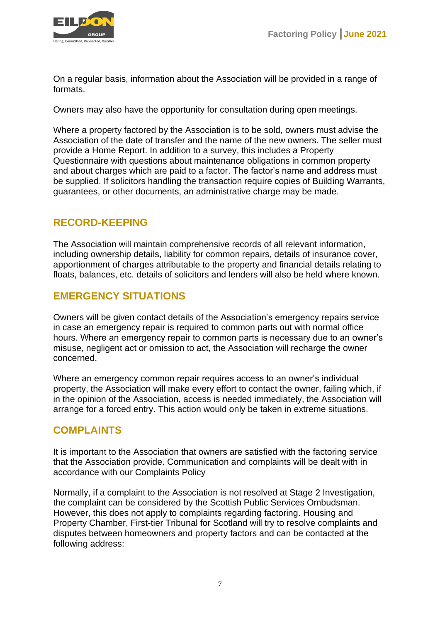

On a regular basis, information about the Association will be provided in a range of formats.

Owners may also have the opportunity for consultation during open meetings.

Where a property factored by the Association is to be sold, owners must advise the Association of the date of transfer and the name of the new owners. The seller must provide a Home Report. In addition to a survey, this includes a Property Questionnaire with questions about maintenance obligations in common property and about charges which are paid to a factor. The factor's name and address must be supplied. If solicitors handling the transaction require copies of Building Warrants, guarantees, or other documents, an administrative charge may be made.

## <span id="page-9-0"></span>**RECORD-KEEPING**

The Association will maintain comprehensive records of all relevant information, including ownership details, liability for common repairs, details of insurance cover, apportionment of charges attributable to the property and financial details relating to floats, balances, etc. details of solicitors and lenders will also be held where known.

### <span id="page-9-1"></span>**EMERGENCY SITUATIONS**

Owners will be given contact details of the Association's emergency repairs service in case an emergency repair is required to common parts out with normal office hours. Where an emergency repair to common parts is necessary due to an owner's misuse, negligent act or omission to act, the Association will recharge the owner concerned.

Where an emergency common repair requires access to an owner's individual property, the Association will make every effort to contact the owner, failing which, if in the opinion of the Association, access is needed immediately, the Association will arrange for a forced entry. This action would only be taken in extreme situations.

### **COMPLAINTS**

It is important to the Association that owners are satisfied with the factoring service that the Association provide. Communication and complaints will be dealt with in accordance with our Complaints Policy

Normally, if a complaint to the Association is not resolved at Stage 2 Investigation, the complaint can be considered by the Scottish Public Services Ombudsman. However, this does not apply to complaints regarding factoring. Housing and Property Chamber, First-tier Tribunal for Scotland will try to resolve complaints and disputes between homeowners and property factors and can be contacted at the following address: